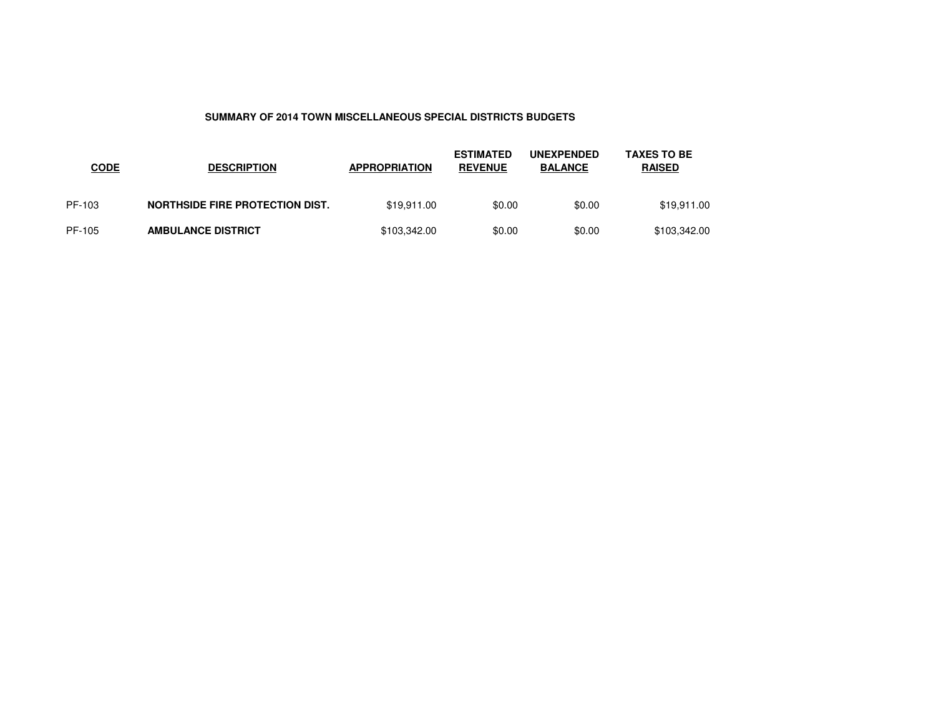### **SUMMARY OF 2014 TOWN MISCELLANEOUS SPECIAL DISTRICTS BUDGETS**

| <b>CODE</b> | <b>DESCRIPTION</b>              | <b>APPROPRIATION</b> | <b>ESTIMATED</b><br><b>REVENUE</b> | <b>UNEXPENDED</b><br><b>BALANCE</b> | <b>TAXES TO BE</b><br><b>RAISED</b> |
|-------------|---------------------------------|----------------------|------------------------------------|-------------------------------------|-------------------------------------|
| PF-103      | NORTHSIDE FIRE PROTECTION DIST. | \$19.911.00          | \$0.00                             | \$0.00                              | \$19,911.00                         |
| PF-105      | <b>AMBULANCE DISTRICT</b>       | \$103,342.00         | \$0.00                             | \$0.00                              | \$103,342.00                        |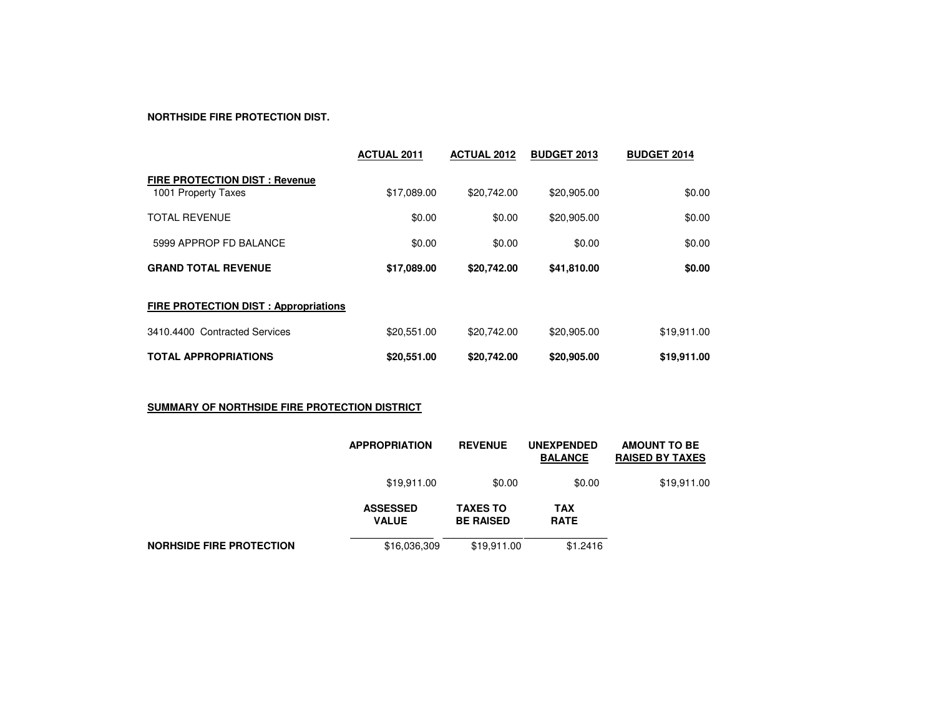### **NORTHSIDE FIRE PROTECTION DIST.**

|                                                             | <b>ACTUAL 2011</b> | <b>ACTUAL 2012</b> | <b>BUDGET 2013</b> | <b>BUDGET 2014</b> |
|-------------------------------------------------------------|--------------------|--------------------|--------------------|--------------------|
| <b>FIRE PROTECTION DIST: Revenue</b><br>1001 Property Taxes | \$17,089.00        | \$20,742.00        | \$20,905.00        | \$0.00             |
| <b>TOTAL REVENUE</b>                                        | \$0.00             | \$0.00             | \$20,905.00        | \$0.00             |
| 5999 APPROP FD BALANCE                                      | \$0.00             | \$0.00             | \$0.00             | \$0.00             |
| <b>GRAND TOTAL REVENUE</b>                                  | \$17,089.00        | \$20,742.00        | \$41,810.00        | \$0.00             |
| <b>FIRE PROTECTION DIST : Appropriations</b>                |                    |                    |                    |                    |
| 3410.4400 Contracted Services                               | \$20,551.00        | \$20,742.00        | \$20,905.00        | \$19,911.00        |
| <b>TOTAL APPROPRIATIONS</b>                                 | \$20,551.00        | \$20.742.00        | \$20,905.00        | \$19,911.00        |

## **SUMMARY OF NORTHSIDE FIRE PROTECTION DISTRICT**

|                                 | <b>APPROPRIATION</b>            | <b>REVENUE</b>                      | <b>UNEXPENDED</b><br><b>BALANCE</b> | <b>AMOUNT TO BE</b><br><b>RAISED BY TAXES</b> |
|---------------------------------|---------------------------------|-------------------------------------|-------------------------------------|-----------------------------------------------|
|                                 | \$19,911.00                     | \$0.00                              | \$0.00                              | \$19,911.00                                   |
|                                 | <b>ASSESSED</b><br><b>VALUE</b> | <b>TAXES TO</b><br><b>BE RAISED</b> | <b>TAX</b><br><b>RATE</b>           |                                               |
| <b>NORHSIDE FIRE PROTECTION</b> | \$16,036,309                    | \$19,911.00                         | \$1,2416                            |                                               |